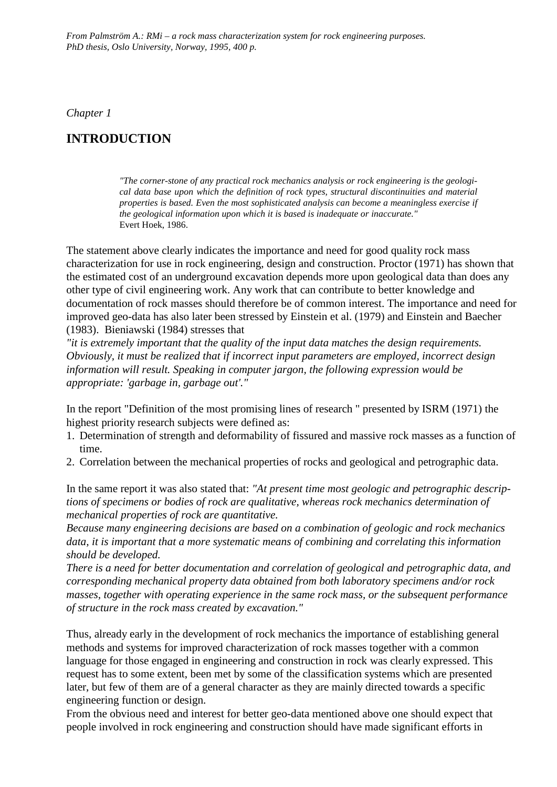*From Palmström A.: RMi – a rock mass characterization system for rock engineering purposes. PhD thesis, Oslo University, Norway, 1995, 400 p.*

*Chapter 1*

## **INTRODUCTION**

*"The corner-stone of any practical rock mechanics analysis or rock engineering is the geological data base upon which the definition of rock types, structural discontinuities and material properties is based. Even the most sophisticated analysis can become a meaningless exercise if the geological information upon which it is based is inadequate or inaccurate."* Evert Hoek, 1986.

The statement above clearly indicates the importance and need for good quality rock mass characterization for use in rock engineering, design and construction. Proctor (1971) has shown that the estimated cost of an underground excavation depends more upon geological data than does any other type of civil engineering work. Any work that can contribute to better knowledge and documentation of rock masses should therefore be of common interest. The importance and need for improved geo-data has also later been stressed by Einstein et al. (1979) and Einstein and Baecher (1983). Bieniawski (1984) stresses that

*"it is extremely important that the quality of the input data matches the design requirements. Obviously, it must be realized that if incorrect input parameters are employed, incorrect design information will result. Speaking in computer jargon, the following expression would be appropriate: 'garbage in, garbage out'."*

In the report "Definition of the most promising lines of research " presented by ISRM (1971) the highest priority research subjects were defined as:

- 1. Determination of strength and deformability of fissured and massive rock masses as a function of time.
- 2. Correlation between the mechanical properties of rocks and geological and petrographic data.

In the same report it was also stated that: *"At present time most geologic and petrographic descriptions of specimens or bodies of rock are qualitative, whereas rock mechanics determination of mechanical properties of rock are quantitative.*

*Because many engineering decisions are based on a combination of geologic and rock mechanics data, it is important that a more systematic means of combining and correlating this information should be developed.*

*There is a need for better documentation and correlation of geological and petrographic data, and corresponding mechanical property data obtained from both laboratory specimens and/or rock masses, together with operating experience in the same rock mass, or the subsequent performance of structure in the rock mass created by excavation."*

Thus, already early in the development of rock mechanics the importance of establishing general methods and systems for improved characterization of rock masses together with a common language for those engaged in engineering and construction in rock was clearly expressed. This request has to some extent, been met by some of the classification systems which are presented later, but few of them are of a general character as they are mainly directed towards a specific engineering function or design.

From the obvious need and interest for better geo-data mentioned above one should expect that people involved in rock engineering and construction should have made significant efforts in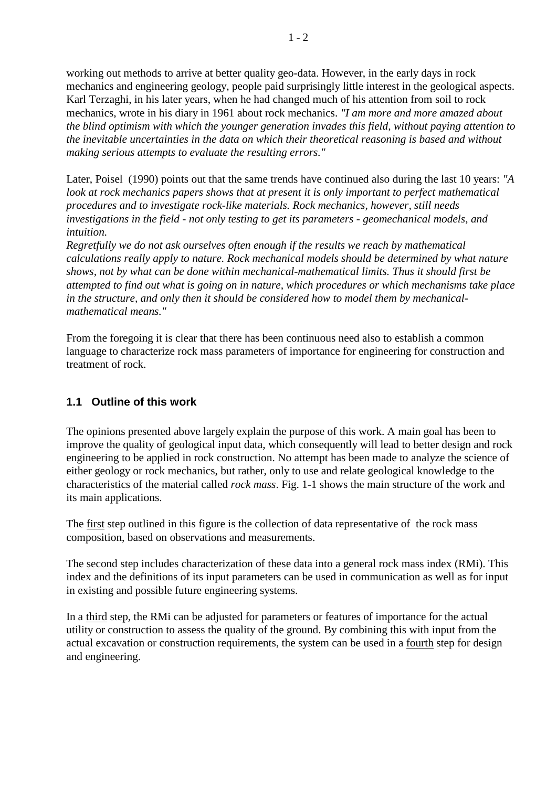working out methods to arrive at better quality geo-data. However, in the early days in rock mechanics and engineering geology, people paid surprisingly little interest in the geological aspects. Karl Terzaghi, in his later years, when he had changed much of his attention from soil to rock mechanics, wrote in his diary in 1961 about rock mechanics. *"I am more and more amazed about the blind optimism with which the younger generation invades this field, without paying attention to the inevitable uncertainties in the data on which their theoretical reasoning is based and without making serious attempts to evaluate the resulting errors."*

Later, Poisel (1990) points out that the same trends have continued also during the last 10 years: *"A look at rock mechanics papers shows that at present it is only important to perfect mathematical procedures and to investigate rock-like materials. Rock mechanics, however, still needs investigations in the field - not only testing to get its parameters - geomechanical models, and intuition.*

*Regretfully we do not ask ourselves often enough if the results we reach by mathematical calculations really apply to nature. Rock mechanical models should be determined by what nature shows, not by what can be done within mechanical-mathematical limits. Thus it should first be attempted to find out what is going on in nature, which procedures or which mechanisms take place in the structure, and only then it should be considered how to model them by mechanicalmathematical means."*

From the foregoing it is clear that there has been continuous need also to establish a common language to characterize rock mass parameters of importance for engineering for construction and treatment of rock.

## **1.1 Outline of this work**

The opinions presented above largely explain the purpose of this work. A main goal has been to improve the quality of geological input data, which consequently will lead to better design and rock engineering to be applied in rock construction. No attempt has been made to analyze the science of either geology or rock mechanics, but rather, only to use and relate geological knowledge to the characteristics of the material called *rock mass*. Fig. 1-1 shows the main structure of the work and its main applications.

The first step outlined in this figure is the collection of data representative of the rock mass composition, based on observations and measurements.

The second step includes characterization of these data into a general rock mass index (RMi). This index and the definitions of its input parameters can be used in communication as well as for input in existing and possible future engineering systems.

In a third step, the RMi can be adjusted for parameters or features of importance for the actual utility or construction to assess the quality of the ground. By combining this with input from the actual excavation or construction requirements, the system can be used in a fourth step for design and engineering.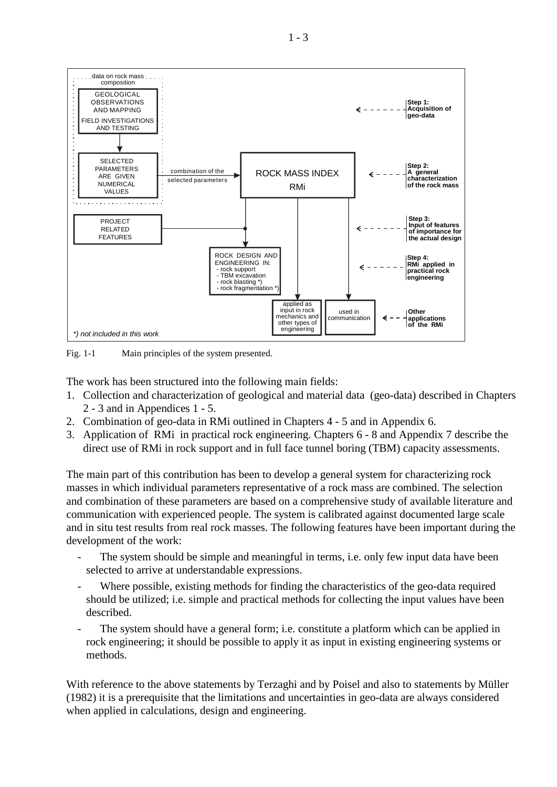

Fig. 1-1 Main principles of the system presented.

The work has been structured into the following main fields:

- 1. Collection and characterization of geological and material data (geo-data) described in Chapters 2 - 3 and in Appendices 1 - 5.
- 2. Combination of geo-data in RMi outlined in Chapters 4 5 and in Appendix 6.
- 3. Application of RMi in practical rock engineering. Chapters 6 8 and Appendix 7 describe the direct use of RMi in rock support and in full face tunnel boring (TBM) capacity assessments.

The main part of this contribution has been to develop a general system for characterizing rock masses in which individual parameters representative of a rock mass are combined. The selection and combination of these parameters are based on a comprehensive study of available literature and communication with experienced people. The system is calibrated against documented large scale and in situ test results from real rock masses. The following features have been important during the development of the work:

- The system should be simple and meaningful in terms, i.e. only few input data have been selected to arrive at understandable expressions.
- Where possible, existing methods for finding the characteristics of the geo-data required should be utilized; i.e. simple and practical methods for collecting the input values have been described.
- The system should have a general form; i.e. constitute a platform which can be applied in rock engineering; it should be possible to apply it as input in existing engineering systems or methods.

With reference to the above statements by Terzaghi and by Poisel and also to statements by Müller (1982) it is a prerequisite that the limitations and uncertainties in geo-data are always considered when applied in calculations, design and engineering.